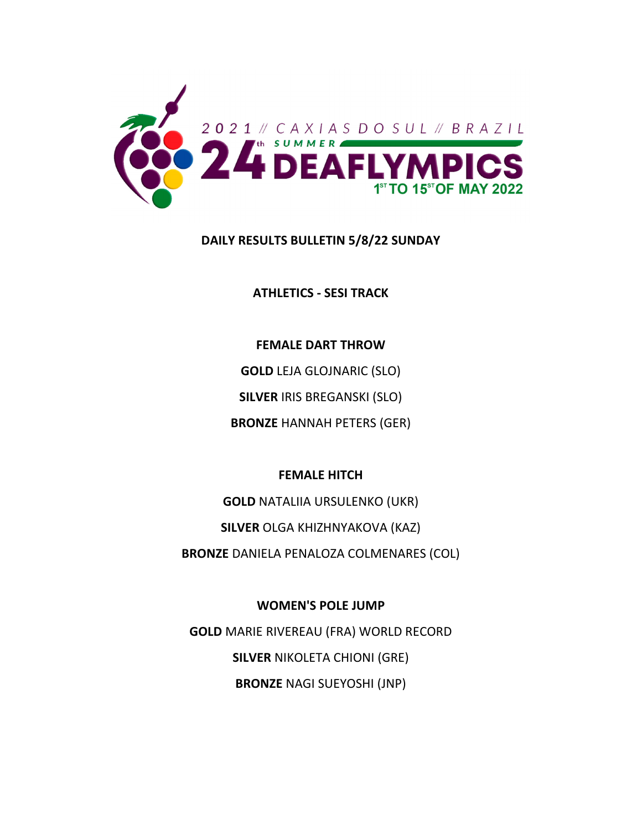

#### **DAILY RESULTS BULLETIN 5/8/22 SUNDAY**

**ATHLETICS ‐ SESI TRACK**

**FEMALE DART THROW GOLD** LEJA GLOJNARIC (SLO) **SILVER** IRIS BREGANSKI (SLO) **BRONZE** HANNAH PETERS (GER)

#### **FEMALE HITCH**

**GOLD** NATALIIA URSULENKO (UKR) **SILVER** OLGA KHIZHNYAKOVA (KAZ)

**BRONZE** DANIELA PENALOZA COLMENARES (COL)

**WOMEN'S POLE JUMP**

**GOLD** MARIE RIVEREAU (FRA) WORLD RECORD **SILVER** NIKOLETA CHIONI (GRE) **BRONZE** NAGI SUEYOSHI (JNP)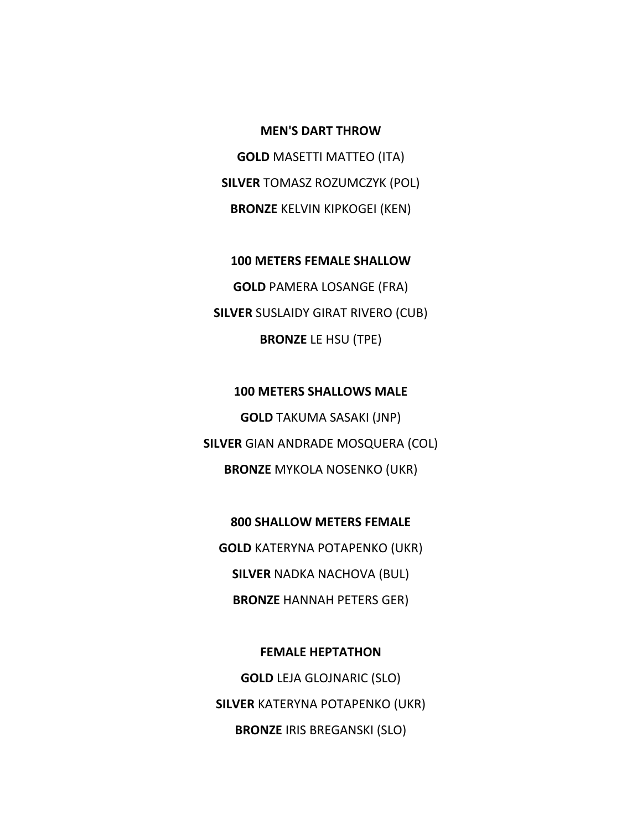#### **MEN'S DART THROW**

**GOLD** MASETTI MATTEO (ITA) **SILVER** TOMASZ ROZUMCZYK (POL) **BRONZE** KELVIN KIPKOGEI (KEN)

**100 METERS FEMALE SHALLOW GOLD** PAMERA LOSANGE (FRA) **SILVER** SUSLAIDY GIRAT RIVERO (CUB) **BRONZE** LE HSU (TPE)

**100 METERS SHALLOWS MALE GOLD** TAKUMA SASAKI (JNP) **SILVER** GIAN ANDRADE MOSQUERA (COL) **BRONZE** MYKOLA NOSENKO (UKR)

**800 SHALLOW METERS FEMALE GOLD** KATERYNA POTAPENKO (UKR) **SILVER** NADKA NACHOVA (BUL) **BRONZE** HANNAH PETERS GER)

**FEMALE HEPTATHON GOLD** LEJA GLOJNARIC (SLO) **SILVER** KATERYNA POTAPENKO (UKR) **BRONZE** IRIS BREGANSKI (SLO)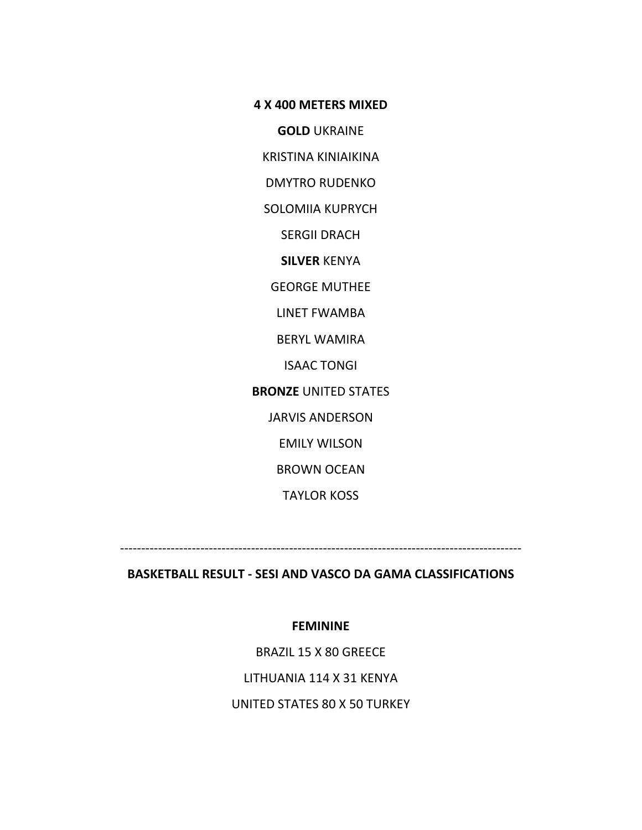#### **4 X 400 METERS MIXED**

**GOLD** UKRAINE

KRISTINA KINIAIKINA

DMYTRO RUDENKO

SOLOMIIA KUPRYCH

SERGII DRACH

**SILVER** KENYA

GEORGE MUTHEE

LINET FWAMBA

BERYL WAMIRA

ISAAC TONGI

**BRONZE** UNITED STATES

JARVIS ANDERSON

EMILY WILSON

BROWN OCEAN

TAYLOR KOSS

‐‐‐‐‐‐‐‐‐‐‐‐‐‐‐‐‐‐‐‐‐‐‐‐‐‐‐‐‐‐‐‐‐‐‐‐‐‐‐‐‐‐‐‐‐‐‐‐‐‐‐‐‐‐‐‐‐‐‐‐‐‐‐‐‐‐‐‐‐‐‐‐‐‐‐‐‐‐‐‐‐‐‐‐‐‐‐‐‐‐‐‐‐‐‐

#### **BASKETBALL RESULT ‐ SESI AND VASCO DA GAMA CLASSIFICATIONS**

#### **FEMININE**

BRAZIL 15 X 80 GREECE

LITHUANIA 114 X 31 KENYA

UNITED STATES 80 X 50 TURKEY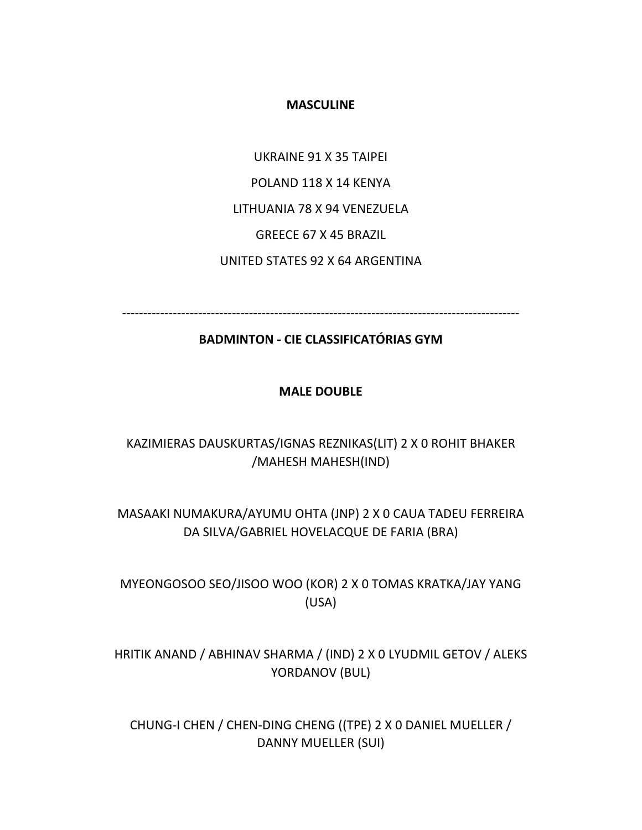#### **MASCULINE**

UKRAINE 91 X 35 TAIPEI POLAND 118 X 14 KENYA LITHUANIA 78 X 94 VENEZUELA GREECE 67 X 45 BRAZIL UNITED STATES 92 X 64 ARGENTINA

‐‐‐‐‐‐‐‐‐‐‐‐‐‐‐‐‐‐‐‐‐‐‐‐‐‐‐‐‐‐‐‐‐‐‐‐‐‐‐‐‐‐‐‐‐‐‐‐‐‐‐‐‐‐‐‐‐‐‐‐‐‐‐‐‐‐‐‐‐‐‐‐‐‐‐‐‐‐‐‐‐‐‐‐‐‐‐‐‐‐‐‐‐‐

#### **BADMINTON ‐ CIE CLASSIFICATÓRIAS GYM**

#### **MALE DOUBLE**

### KAZIMIERAS DAUSKURTAS/IGNAS REZNIKAS(LIT) 2 X 0 ROHIT BHAKER /MAHESH MAHESH(IND)

## MASAAKI NUMAKURA/AYUMU OHTA (JNP) 2 X 0 CAUA TADEU FERREIRA DA SILVA/GABRIEL HOVELACQUE DE FARIA (BRA)

MYEONGOSOO SEO/JISOO WOO (KOR) 2 X 0 TOMAS KRATKA/JAY YANG (USA)

HRITIK ANAND / ABHINAV SHARMA / (IND) 2 X 0 LYUDMIL GETOV / ALEKS YORDANOV (BUL)

CHUNG‐I CHEN / CHEN‐DING CHENG ((TPE) 2 X 0 DANIEL MUELLER / DANNY MUELLER (SUI)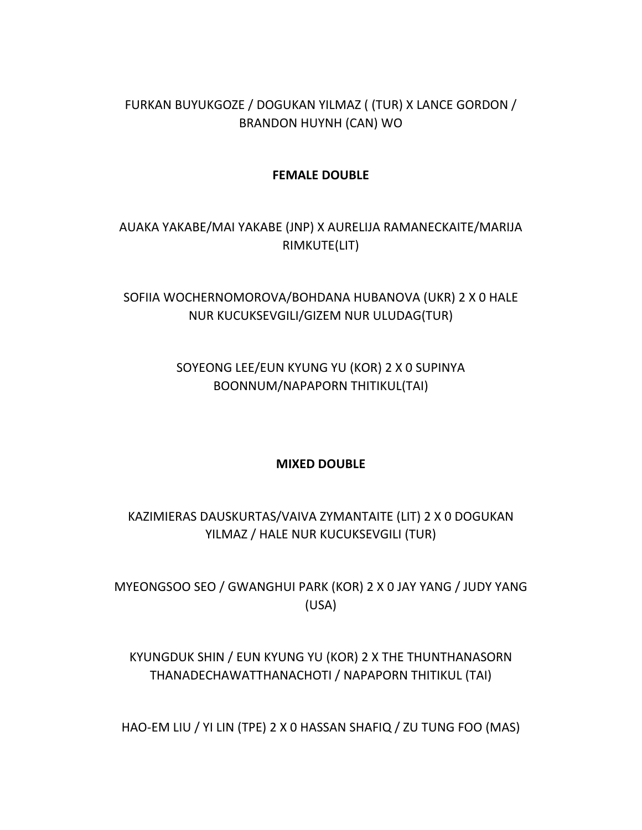## FURKAN BUYUKGOZE / DOGUKAN YILMAZ ( (TUR) X LANCE GORDON / BRANDON HUYNH (CAN) WO

#### **FEMALE DOUBLE**

# AUAKA YAKABE/MAI YAKABE (JNP) X AURELIJA RAMANECKAITE/MARIJA RIMKUTE(LIT)

## SOFIIA WOCHERNOMOROVA/BOHDANA HUBANOVA (UKR) 2 X 0 HALE NUR KUCUKSEVGILI/GIZEM NUR ULUDAG(TUR)

## SOYEONG LEE/EUN KYUNG YU (KOR) 2 X 0 SUPINYA BOONNUM/NAPAPORN THITIKUL(TAI)

#### **MIXED DOUBLE**

# KAZIMIERAS DAUSKURTAS/VAIVA ZYMANTAITE (LIT) 2 X 0 DOGUKAN YILMAZ / HALE NUR KUCUKSEVGILI (TUR)

MYEONGSOO SEO / GWANGHUI PARK (KOR) 2 X 0 JAY YANG / JUDY YANG (USA)

## KYUNGDUK SHIN / EUN KYUNG YU (KOR) 2 X THE THUNTHANASORN THANADECHAWATTHANACHOTI / NAPAPORN THITIKUL (TAI)

HAO‐EM LIU / YI LIN (TPE) 2 X 0 HASSAN SHAFIQ / ZU TUNG FOO (MAS)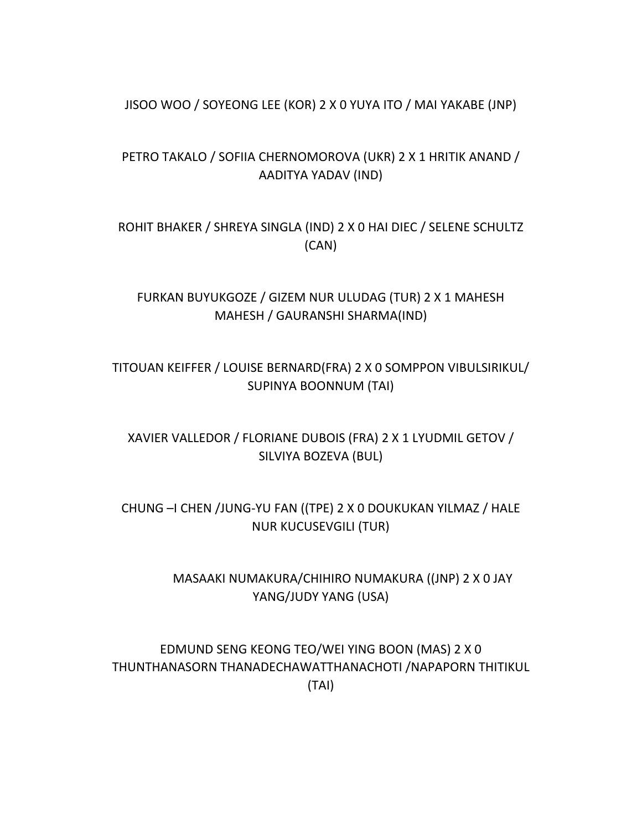#### JISOO WOO / SOYEONG LEE (KOR) 2 X 0 YUYA ITO / MAI YAKABE (JNP)

## PETRO TAKALO / SOFIIA CHERNOMOROVA (UKR) 2 X 1 HRITIK ANAND / AADITYA YADAV (IND)

ROHIT BHAKER / SHREYA SINGLA (IND) 2 X 0 HAI DIEC / SELENE SCHULTZ (CAN)

FURKAN BUYUKGOZE / GIZEM NUR ULUDAG (TUR) 2 X 1 MAHESH MAHESH / GAURANSHI SHARMA(IND)

## TITOUAN KEIFFER / LOUISE BERNARD(FRA) 2 X 0 SOMPPON VIBULSIRIKUL/ SUPINYA BOONNUM (TAI)

XAVIER VALLEDOR / FLORIANE DUBOIS (FRA) 2 X 1 LYUDMIL GETOV / SILVIYA BOZEVA (BUL)

CHUNG –I CHEN /JUNG‐YU FAN ((TPE) 2 X 0 DOUKUKAN YILMAZ / HALE NUR KUCUSEVGILI (TUR)

> MASAAKI NUMAKURA/CHIHIRO NUMAKURA ((JNP) 2 X 0 JAY YANG/JUDY YANG (USA)

EDMUND SENG KEONG TEO/WEI YING BOON (MAS) 2 X 0 THUNTHANASORN THANADECHAWATTHANACHOTI /NAPAPORN THITIKUL (TAI)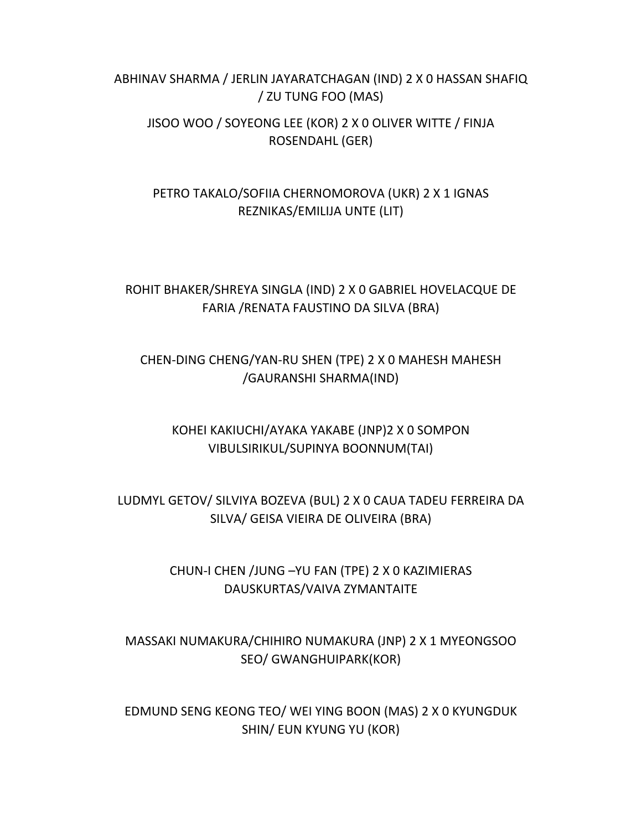### ABHINAV SHARMA / JERLIN JAYARATCHAGAN (IND) 2 X 0 HASSAN SHAFIQ / ZU TUNG FOO (MAS)

### JISOO WOO / SOYEONG LEE (KOR) 2 X 0 OLIVER WITTE / FINJA ROSENDAHL (GER)

## PETRO TAKALO/SOFIIA CHERNOMOROVA (UKR) 2 X 1 IGNAS REZNIKAS/EMILIJA UNTE (LIT)

## ROHIT BHAKER/SHREYA SINGLA (IND) 2 X 0 GABRIEL HOVELACQUE DE FARIA /RENATA FAUSTINO DA SILVA (BRA)

### CHEN‐DING CHENG/YAN‐RU SHEN (TPE) 2 X 0 MAHESH MAHESH /GAURANSHI SHARMA(IND)

### KOHEI KAKIUCHI/AYAKA YAKABE (JNP)2 X 0 SOMPON VIBULSIRIKUL/SUPINYA BOONNUM(TAI)

## LUDMYL GETOV/ SILVIYA BOZEVA (BUL) 2 X 0 CAUA TADEU FERREIRA DA SILVA/ GEISA VIEIRA DE OLIVEIRA (BRA)

### CHUN‐I CHEN /JUNG –YU FAN (TPE) 2 X 0 KAZIMIERAS DAUSKURTAS/VAIVA ZYMANTAITE

# MASSAKI NUMAKURA/CHIHIRO NUMAKURA (JNP) 2 X 1 MYEONGSOO SEO/ GWANGHUIPARK(KOR)

### EDMUND SENG KEONG TEO/ WEI YING BOON (MAS) 2 X 0 KYUNGDUK SHIN/ EUN KYUNG YU (KOR)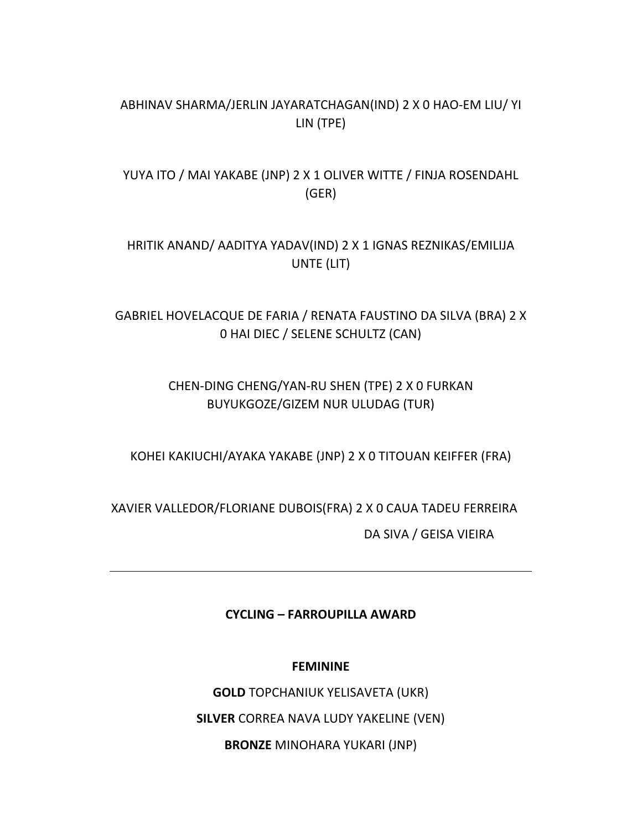### ABHINAV SHARMA/JERLIN JAYARATCHAGAN(IND) 2 X 0 HAO‐EM LIU/ YI LIN (TPE)

# YUYA ITO / MAI YAKABE (JNP) 2 X 1 OLIVER WITTE / FINJA ROSENDAHL (GER)

## HRITIK ANAND/ AADITYA YADAV(IND) 2 X 1 IGNAS REZNIKAS/EMILIJA UNTE (LIT)

## GABRIEL HOVELACQUE DE FARIA / RENATA FAUSTINO DA SILVA (BRA) 2 X 0 HAI DIEC / SELENE SCHULTZ (CAN)

## CHEN‐DING CHENG/YAN‐RU SHEN (TPE) 2 X 0 FURKAN BUYUKGOZE/GIZEM NUR ULUDAG (TUR)

KOHEI KAKIUCHI/AYAKA YAKABE (JNP) 2 X 0 TITOUAN KEIFFER (FRA)

XAVIER VALLEDOR/FLORIANE DUBOIS(FRA) 2 X 0 CAUA TADEU FERREIRA DA SIVA / GEISA VIEIRA

### **CYCLING – FARROUPILLA AWARD**

#### **FEMININE**

**GOLD** TOPCHANIUK YELISAVETA (UKR) **SILVER** CORREA NAVA LUDY YAKELINE (VEN) **BRONZE** MINOHARA YUKARI (JNP)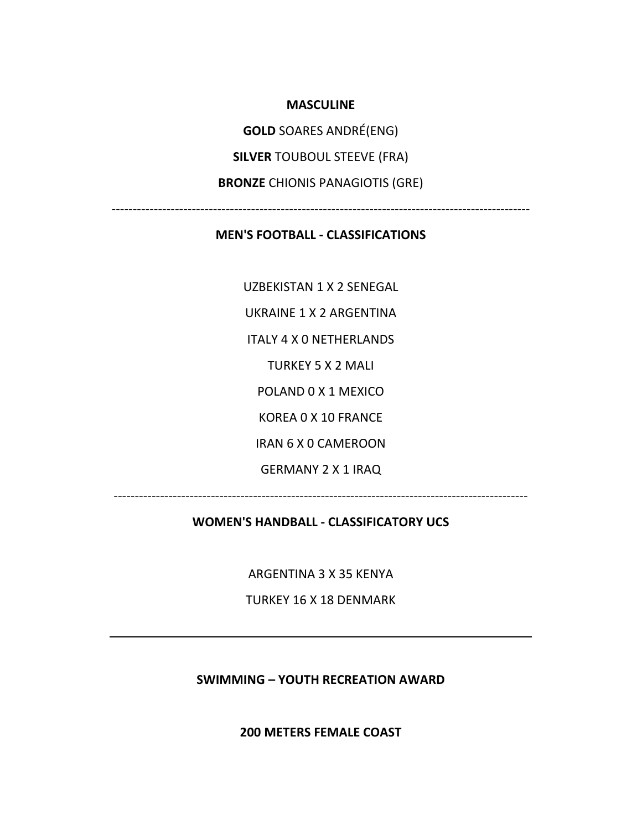**MASCULINE**

**GOLD** SOARES ANDRÉ(ENG)

**SILVER** TOUBOUL STEEVE (FRA)

**BRONZE** CHIONIS PANAGIOTIS (GRE)

‐‐‐‐‐‐‐‐‐‐‐‐‐‐‐‐‐‐‐‐‐‐‐‐‐‐‐‐‐‐‐‐‐‐‐‐‐‐‐‐‐‐‐‐‐‐‐‐‐‐‐‐‐‐‐‐‐‐‐‐‐‐‐‐‐‐‐‐‐‐‐‐‐‐‐‐‐‐‐‐‐‐‐‐‐‐‐‐‐‐‐‐‐‐‐‐‐‐‐

#### **MEN'S FOOTBALL ‐ CLASSIFICATIONS**

UZBEKISTAN 1 X 2 SENEGAL UKRAINE 1 X 2 ARGENTINA ITALY 4 X 0 NETHERLANDS TURKEY 5 X 2 MALI POLAND 0 X 1 MEXICO KOREA 0 X 10 FRANCE IRAN 6 X 0 CAMEROON GERMANY 2 X 1 IRAQ

#### **WOMEN'S HANDBALL ‐ CLASSIFICATORY UCS**

‐‐‐‐‐‐‐‐‐‐‐‐‐‐‐‐‐‐‐‐‐‐‐‐‐‐‐‐‐‐‐‐‐‐‐‐‐‐‐‐‐‐‐‐‐‐‐‐‐‐‐‐‐‐‐‐‐‐‐‐‐‐‐‐‐‐‐‐‐‐‐‐‐‐‐‐‐‐‐‐‐‐‐‐‐‐‐‐‐‐‐‐‐‐‐‐‐‐

ARGENTINA 3 X 35 KENYA

TURKEY 16 X 18 DENMARK

**SWIMMING – YOUTH RECREATION AWARD**

**200 METERS FEMALE COAST**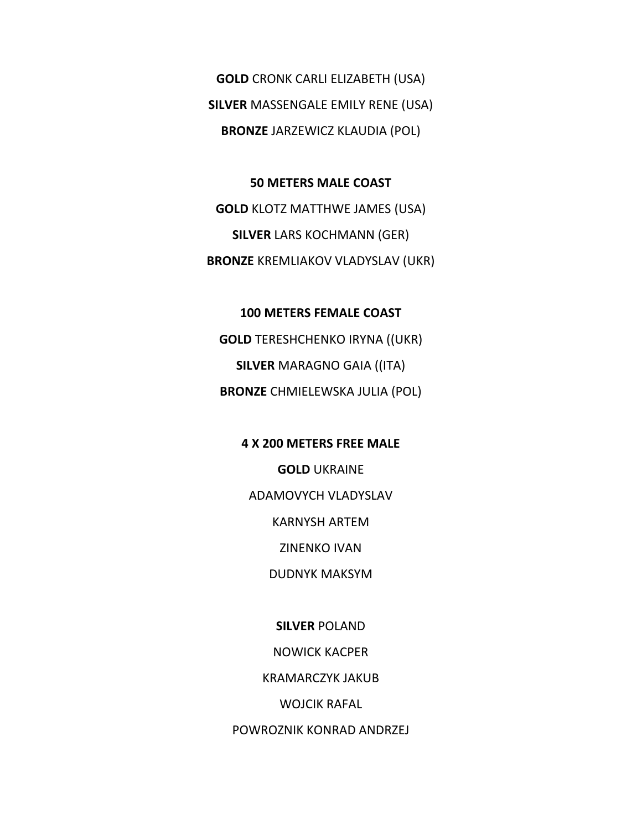**GOLD** CRONK CARLI ELIZABETH (USA) **SILVER** MASSENGALE EMILY RENE (USA) **BRONZE** JARZEWICZ KLAUDIA (POL)

**50 METERS MALE COAST GOLD** KLOTZ MATTHWE JAMES (USA) **SILVER** LARS KOCHMANN (GER) **BRONZE** KREMLIAKOV VLADYSLAV (UKR)

**100 METERS FEMALE COAST GOLD** TERESHCHENKO IRYNA ((UKR) **SILVER** MARAGNO GAIA ((ITA) **BRONZE** CHMIELEWSKA JULIA (POL)

> **4 X 200 METERS FREE MALE GOLD** UKRAINE ADAMOVYCH VLADYSLAV KARNYSH ARTEM ZINENKO IVAN DUDNYK MAKSYM

> > **SILVER** POLAND NOWICK KACPER KRAMARCZYK JAKUB WOJCIK RAFAL

POWROZNIK KONRAD ANDRZEJ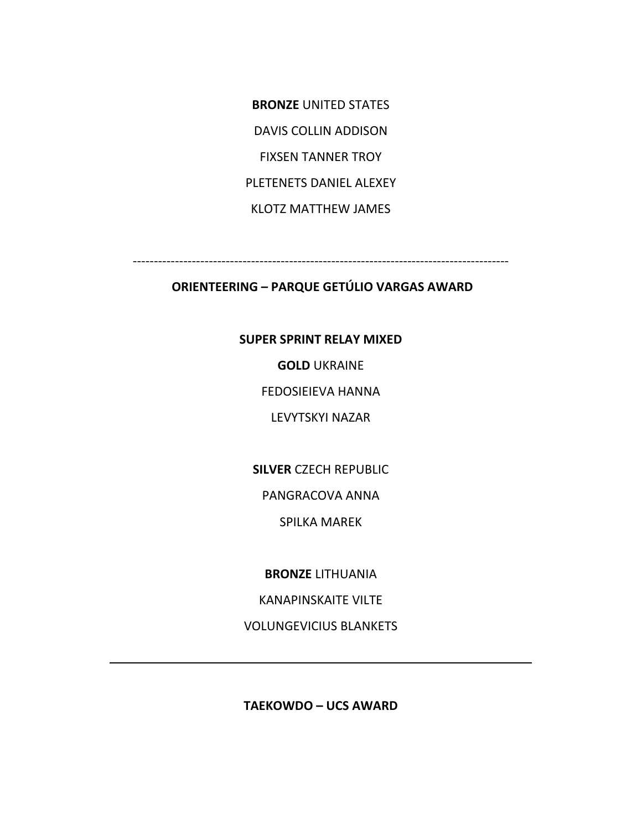**BRONZE** UNITED STATES DAVIS COLLIN ADDISON FIXSEN TANNER TROY PLETENETS DANIEL ALEXEY KLOTZ MATTHEW JAMES

‐‐‐‐‐‐‐‐‐‐‐‐‐‐‐‐‐‐‐‐‐‐‐‐‐‐‐‐‐‐‐‐‐‐‐‐‐‐‐‐‐‐‐‐‐‐‐‐‐‐‐‐‐‐‐‐‐‐‐‐‐‐‐‐‐‐‐‐‐‐‐‐‐‐‐‐‐‐‐‐‐‐‐‐‐‐‐‐‐

### **ORIENTEERING – PARQUE GETÚLIO VARGAS AWARD**

#### **SUPER SPRINT RELAY MIXED**

**GOLD** UKRAINE

FEDOSIEIEVA HANNA

LEVYTSKYI NAZAR

**SILVER** CZECH REPUBLIC

PANGRACOVA ANNA

SPILKA MAREK

**BRONZE** LITHUANIA

KANAPINSKAITE VILTE

VOLUNGEVICIUS BLANKETS

**TAEKOWDO – UCS AWARD**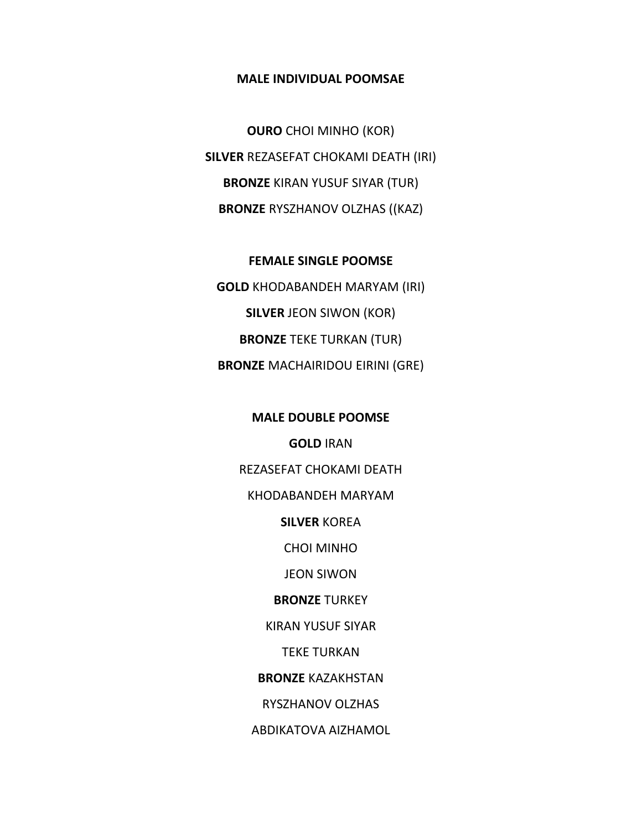#### **MALE INDIVIDUAL POOMSAE**

**OURO** CHOI MINHO (KOR) **SILVER** REZASEFAT CHOKAMI DEATH (IRI) **BRONZE** KIRAN YUSUF SIYAR (TUR) **BRONZE** RYSZHANOV OLZHAS ((KAZ)

**FEMALE SINGLE POOMSE GOLD** KHODABANDEH MARYAM (IRI) **SILVER** JEON SIWON (KOR) **BRONZE** TEKE TURKAN (TUR) **BRONZE** MACHAIRIDOU EIRINI (GRE)

> **MALE DOUBLE POOMSE GOLD** IRAN REZASEFAT CHOKAMI DEATH KHODABANDEH MARYAM **SILVER** KOREA CHOI MINHO JEON SIWON **BRONZE** TURKEY KIRAN YUSUF SIYAR TEKE TURKAN **BRONZE** KAZAKHSTAN RYSZHANOV OLZHAS ABDIKATOVA AIZHAMOL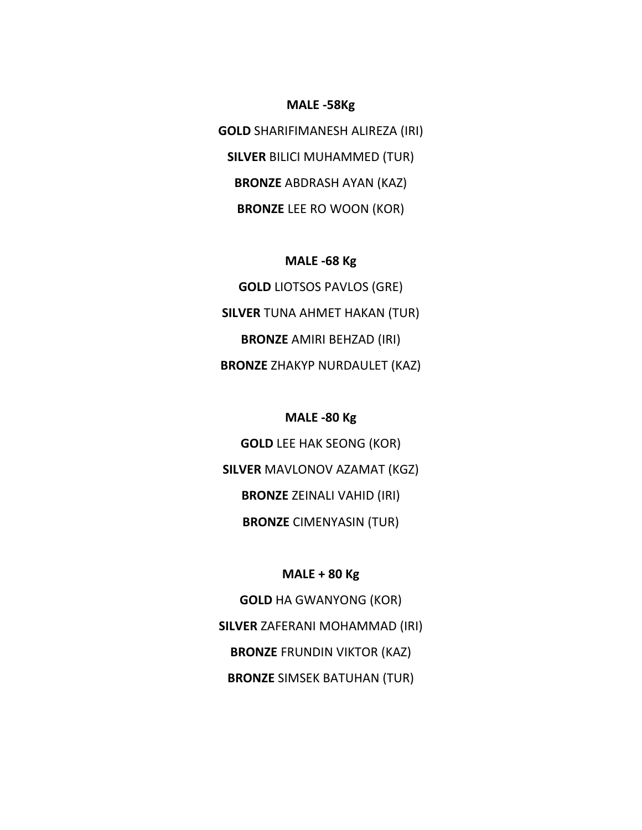**GOLD** SHARIFIMANESH ALIREZA (IRI) **SILVER** BILICI MUHAMMED (TUR) **BRONZE** ABDRASH AYAN (KAZ) **BRONZE** LEE RO WOON (KOR)

**MALE ‐58Kg**

#### **MALE ‐68 Kg**

**GOLD** LIOTSOS PAVLOS (GRE) **SILVER** TUNA AHMET HAKAN (TUR) **BRONZE** AMIRI BEHZAD (IRI) **BRONZE** ZHAKYP NURDAULET (KAZ)

#### **MALE ‐80 Kg**

**GOLD** LEE HAK SEONG (KOR) **SILVER** MAVLONOV AZAMAT (KGZ) **BRONZE** ZEINALI VAHID (IRI) **BRONZE** CIMENYASIN (TUR)

#### **MALE + 80 Kg**

**GOLD** HA GWANYONG (KOR) **SILVER** ZAFERANI MOHAMMAD (IRI) **BRONZE** FRUNDIN VIKTOR (KAZ) **BRONZE** SIMSEK BATUHAN (TUR)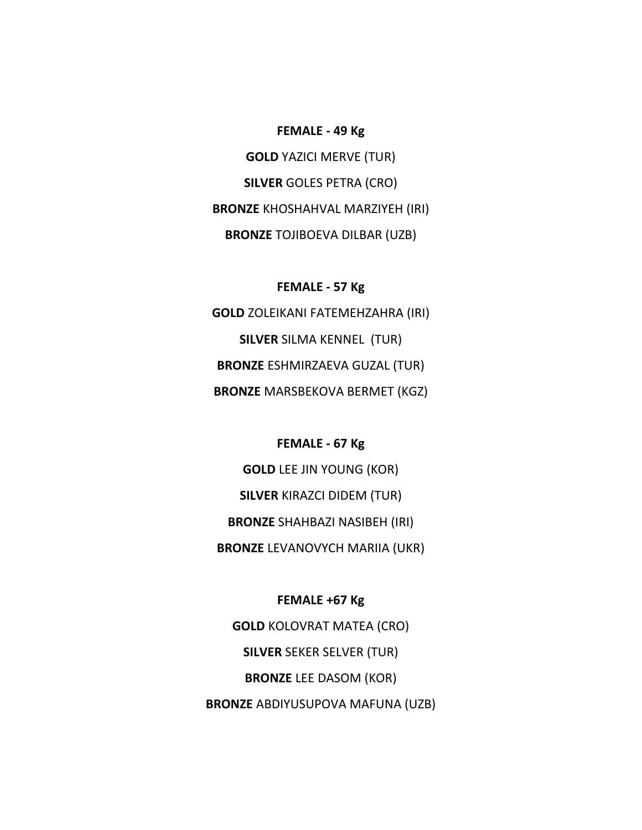#### **FEMALE ‐ 49 Kg**

**GOLD** YAZICI MERVE (TUR) **SILVER** GOLES PETRA (CRO) **BRONZE** KHOSHAHVAL MARZIYEH (IRI) **BRONZE** TOJIBOEVA DILBAR (UZB)

#### **FEMALE ‐ 57 Kg**

**GOLD** ZOLEIKANI FATEMEHZAHRA (IRI) **SILVER** SILMA KENNEL (TUR) **BRONZE** ESHMIRZAEVA GUZAL (TUR) **BRONZE** MARSBEKOVA BERMET (KGZ)

**FEMALE ‐ 67 Kg GOLD** LEE JIN YOUNG (KOR) **SILVER** KIRAZCI DIDEM (TUR) **BRONZE** SHAHBAZI NASIBEH (IRI) **BRONZE** LEVANOVYCH MARIIA (UKR)

**FEMALE +67 Kg GOLD** KOLOVRAT MATEA (CRO) **SILVER** SEKER SELVER (TUR) **BRONZE** LEE DASOM (KOR) **BRONZE** ABDIYUSUPOVA MAFUNA (UZB)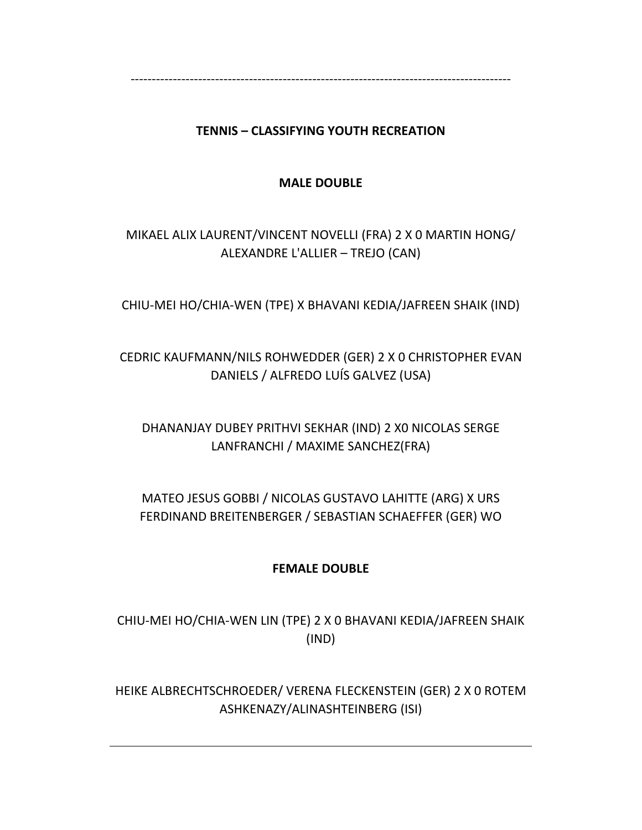‐‐‐‐‐‐‐‐‐‐‐‐‐‐‐‐‐‐‐‐‐‐‐‐‐‐‐‐‐‐‐‐‐‐‐‐‐‐‐‐‐‐‐‐‐‐‐‐‐‐‐‐‐‐‐‐‐‐‐‐‐‐‐‐‐‐‐‐‐‐‐‐‐‐‐‐‐‐‐‐‐‐‐‐‐‐‐‐‐‐

### **TENNIS – CLASSIFYING YOUTH RECREATION**

#### **MALE DOUBLE**

# MIKAEL ALIX LAURENT/VINCENT NOVELLI (FRA) 2 X 0 MARTIN HONG/ ALEXANDRE L'ALLIER – TREJO (CAN)

CHIU‐MEI HO/CHIA‐WEN (TPE) X BHAVANI KEDIA/JAFREEN SHAIK (IND)

# CEDRIC KAUFMANN/NILS ROHWEDDER (GER) 2 X 0 CHRISTOPHER EVAN DANIELS / ALFREDO LUÍS GALVEZ (USA)

# DHANANJAY DUBEY PRITHVI SEKHAR (IND) 2 X0 NICOLAS SERGE LANFRANCHI / MAXIME SANCHEZ(FRA)

# MATEO JESUS GOBBI / NICOLAS GUSTAVO LAHITTE (ARG) X URS FERDINAND BREITENBERGER / SEBASTIAN SCHAEFFER (GER) WO

### **FEMALE DOUBLE**

CHIU‐MEI HO/CHIA‐WEN LIN (TPE) 2 X 0 BHAVANI KEDIA/JAFREEN SHAIK (IND)

HEIKE ALBRECHTSCHROEDER/ VERENA FLECKENSTEIN (GER) 2 X 0 ROTEM ASHKENAZY/ALINASHTEINBERG (ISI)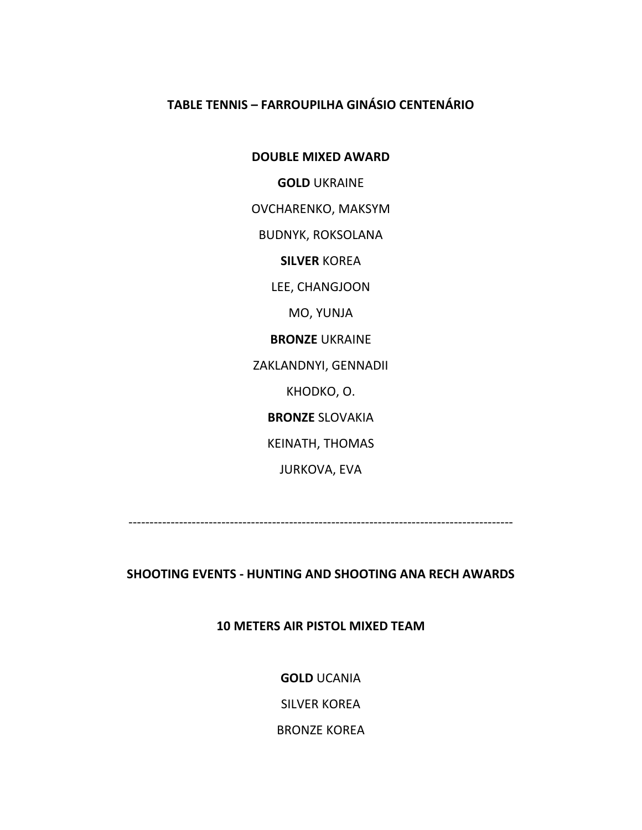#### **TABLE TENNIS – FARROUPILHA GINÁSIO CENTENÁRIO**

**DOUBLE MIXED AWARD**

**GOLD** UKRAINE

OVCHARENKO, MAKSYM

BUDNYK, ROKSOLANA

**SILVER** KOREA

LEE, CHANGJOON

MO, YUNJA

**BRONZE** UKRAINE

ZAKLANDNYI, GENNADII

KHODKO, O.

**BRONZE** SLOVAKIA

KEINATH, THOMAS

JURKOVA, EVA

‐‐‐‐‐‐‐‐‐‐‐‐‐‐‐‐‐‐‐‐‐‐‐‐‐‐‐‐‐‐‐‐‐‐‐‐‐‐‐‐‐‐‐‐‐‐‐‐‐‐‐‐‐‐‐‐‐‐‐‐‐‐‐‐‐‐‐‐‐‐‐‐‐‐‐‐‐‐‐‐‐‐‐‐‐‐‐‐‐‐‐

**SHOOTING EVENTS ‐ HUNTING AND SHOOTING ANA RECH AWARDS**

**10 METERS AIR PISTOL MIXED TEAM**

**GOLD** UCANIA

SILVER KOREA

BRONZE KOREA